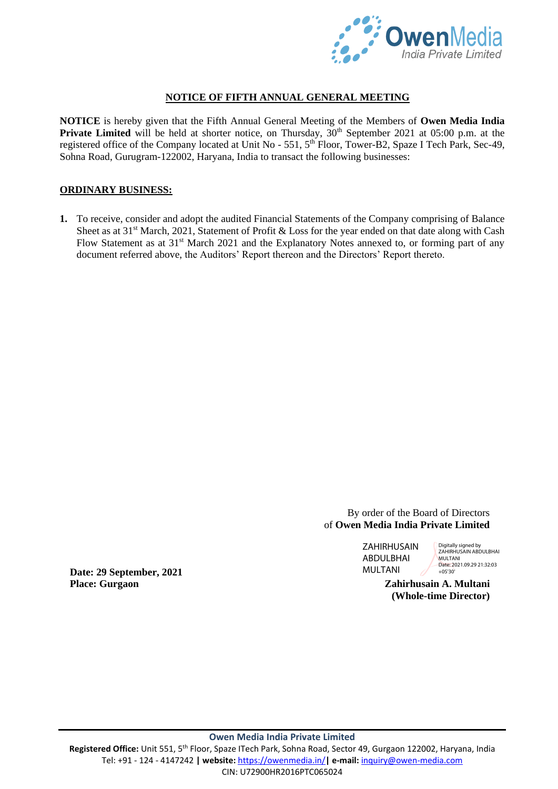

# **NOTICE OF FIFTH ANNUAL GENERAL MEETING**

**NOTICE** is hereby given that the Fifth Annual General Meeting of the Members of **Owen Media India Private Limited** will be held at shorter notice, on Thursday,  $30<sup>th</sup>$  September 2021 at 05:00 p.m. at the registered office of the Company located at Unit No - 551, 5<sup>th</sup> Floor, Tower-B2, Spaze I Tech Park, Sec-49, Sohna Road, Gurugram-122002, Haryana, India to transact the following businesses:

# **ORDINARY BUSINESS:**

**1.** To receive, consider and adopt the audited Financial Statements of the Company comprising of Balance Sheet as at 31<sup>st</sup> March, 2021, Statement of Profit & Loss for the year ended on that date along with Cash Flow Statement as at 31<sup>st</sup> March 2021 and the Explanatory Notes annexed to, or forming part of any document referred above, the Auditors' Report thereon and the Directors' Report thereto.

# By order of the Board of Directors of **Owen Media India Private Limited**

ZAHIRHUSAIN ABDULBHAI MULTANI

Digitally signed by ZAHIRHUSAIN ABDULBHAI **MULTANI** Date: 2021.09.29 21:32:03 +05'30'

**(Whole-time Director)**

**Date: 29 September, 2021 Place: Gurgaon Zahirhusain A. Multani**

Registered Office: Unit 551, 5<sup>th</sup> Floor, Spaze ITech Park, Sohna Road, Sector 49, Gurgaon 122002, Haryana, India Tel: +91 - 124 - 4147242 **| website:** <https://owenmedia.in/>**| e-mail:** [inquiry@owen-media.com](mailto:inquiry@owen-media.com) CIN: U72900HR2016PTC065024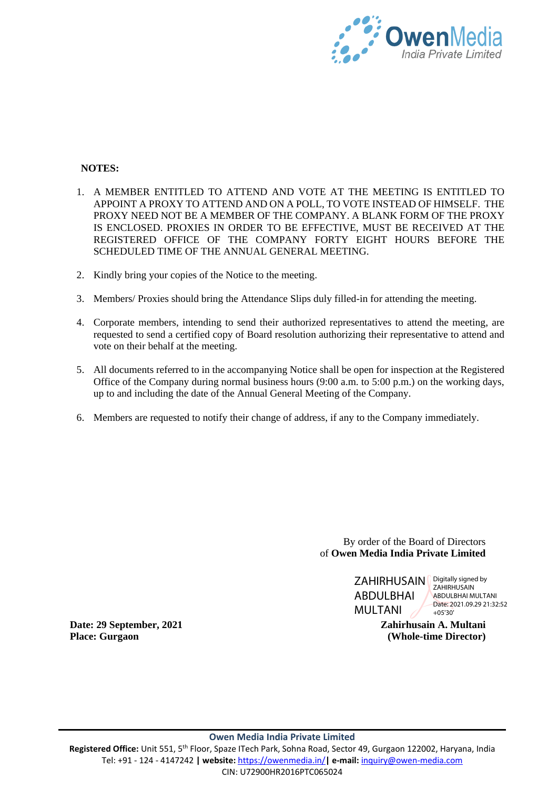

# **NOTES:**

- 1. A MEMBER ENTITLED TO ATTEND AND VOTE AT THE MEETING IS ENTITLED TO APPOINT A PROXY TO ATTEND AND ON A POLL, TO VOTE INSTEAD OF HIMSELF. THE PROXY NEED NOT BE A MEMBER OF THE COMPANY. A BLANK FORM OF THE PROXY IS ENCLOSED. PROXIES IN ORDER TO BE EFFECTIVE, MUST BE RECEIVED AT THE REGISTERED OFFICE OF THE COMPANY FORTY EIGHT HOURS BEFORE THE SCHEDULED TIME OF THE ANNUAL GENERAL MEETING.
- 2. Kindly bring your copies of the Notice to the meeting.
- 3. Members/ Proxies should bring the Attendance Slips duly filled-in for attending the meeting.
- 4. Corporate members, intending to send their authorized representatives to attend the meeting, are requested to send a certified copy of Board resolution authorizing their representative to attend and vote on their behalf at the meeting.
- 5. All documents referred to in the accompanying Notice shall be open for inspection at the Registered Office of the Company during normal business hours (9:00 a.m. to 5:00 p.m.) on the working days, up to and including the date of the Annual General Meeting of the Company.
- 6. Members are requested to notify their change of address, if any to the Company immediately.

By order of the Board of Directors of **Owen Media India Private Limited**



**ZAHIRHUSAIN** ABDULBHAI MULTANI Date: 2021.09.29 21:32:52  $+05'30'$ 

**Zahirhusain A. Multani (Whole-time Director)**

**Date: 29 September, 2021 Place: Gurgaon**

Registered Office: Unit 551, 5<sup>th</sup> Floor, Spaze ITech Park, Sohna Road, Sector 49, Gurgaon 122002, Haryana, India Tel: +91 - 124 - 4147242 **| website:** <https://owenmedia.in/>**| e-mail:** [inquiry@owen-media.com](mailto:inquiry@owen-media.com) CIN: U72900HR2016PTC065024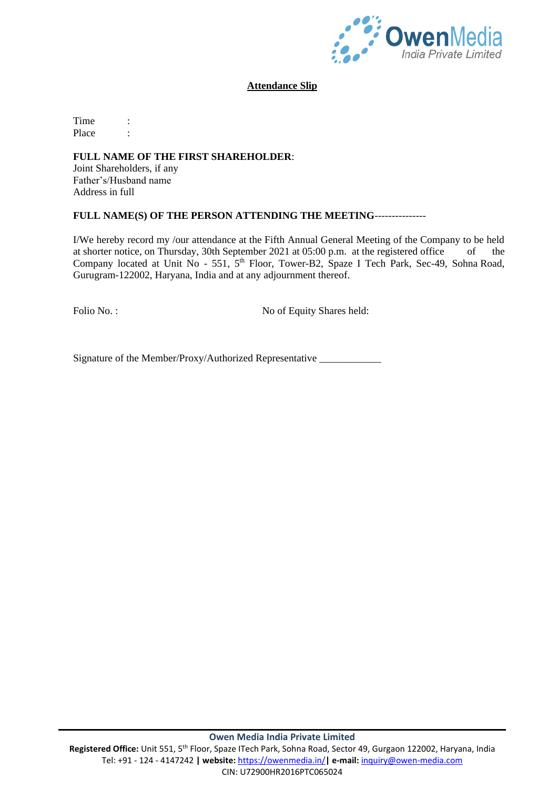

### **Attendance Slip**

Time : Place :

# **FULL NAME OF THE FIRST SHAREHOLDER**:

Joint Shareholders, if any Father's/Husband name Address in full

#### **FULL NAME(S) OF THE PERSON ATTENDING THE MEETING**---------------

I/We hereby record my /our attendance at the Fifth Annual General Meeting of the Company to be held at shorter notice, on Thursday, 30th September 2021 at 05:00 p.m. at the registered office of the Company located at Unit No - 551, 5<sup>th</sup> Floor, Tower-B2, Spaze I Tech Park, Sec-49, Sohna Road, Gurugram-122002, Haryana, India and at any adjournment thereof.

Folio No.: No of Equity Shares held:

Signature of the Member/Proxy/Authorized Representative \_\_\_\_\_\_\_\_\_\_\_\_\_\_\_\_\_\_\_\_\_\_\_\_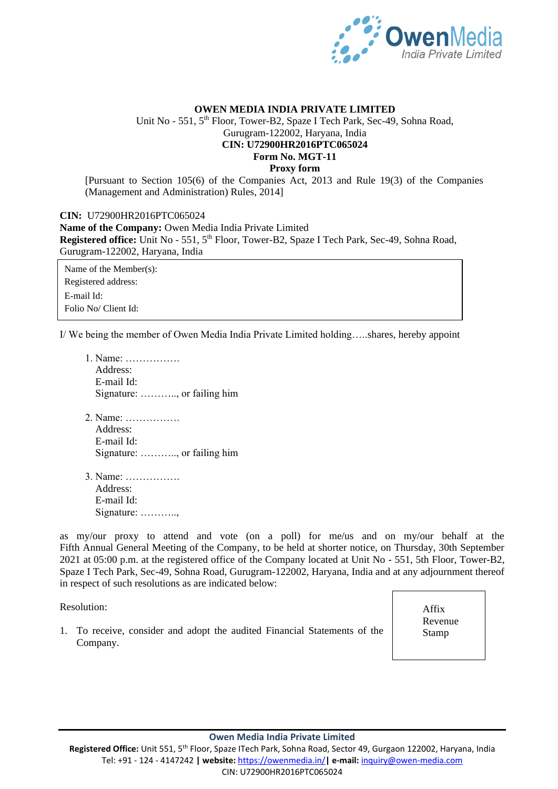

# **OWEN MEDIA INDIA PRIVATE LIMITED** Unit No - 551, 5<sup>th</sup> Floor, Tower-B2, Spaze I Tech Park, Sec-49, Sohna Road, Gurugram-122002, Haryana, India **CIN: U72900HR2016PTC065024 Form No. MGT-11 Proxy form**

[Pursuant to Section 105(6) of the Companies Act, 2013 and Rule 19(3) of the Companies (Management and Administration) Rules, 2014]

**CIN:** U72900HR2016PTC065024 **Name of the Company:** Owen Media India Private Limited **Registered office:** Unit No - 551, 5<sup>th</sup> Floor, Tower-B2, Spaze I Tech Park, Sec-49, Sohna Road, Gurugram-122002, Haryana, India

Name of the Member(s): Registered address: E-mail Id: Folio No/ Client Id:

I/ We being the member of Owen Media India Private Limited holding…..shares, hereby appoint

- 1. Name: ……………. Address: E-mail Id: Signature: ……….., or failing him
- 2. Name: ……………. Address: E-mail Id: Signature: ……….., or failing him
- 3. Name: ……………. Address: E-mail Id: Signature: ………..,

as my/our proxy to attend and vote (on a poll) for me/us and on my/our behalf at the Fifth Annual General Meeting of the Company, to be held at shorter notice, on Thursday, 30th September 2021 at 05:00 p.m. at the registered office of the Company located at Unit No - 551, 5th Floor, Tower-B2, Spaze I Tech Park, Sec-49, Sohna Road, Gurugram-122002, Haryana, India and at any adjournment thereof in respect of such resolutions as are indicated below:

Resolution:

1. To receive, consider and adopt the audited Financial Statements of the Company.

Affix Revenue Stamp

#### **Owen Media India Private Limited**

Registered Office: Unit 551, 5<sup>th</sup> Floor, Spaze ITech Park, Sohna Road, Sector 49, Gurgaon 122002, Haryana, India Tel: +91 - 124 - 4147242 **| website:** <https://owenmedia.in/>**| e-mail:** [inquiry@owen-media.com](mailto:inquiry@owen-media.com) CIN: U72900HR2016PTC065024